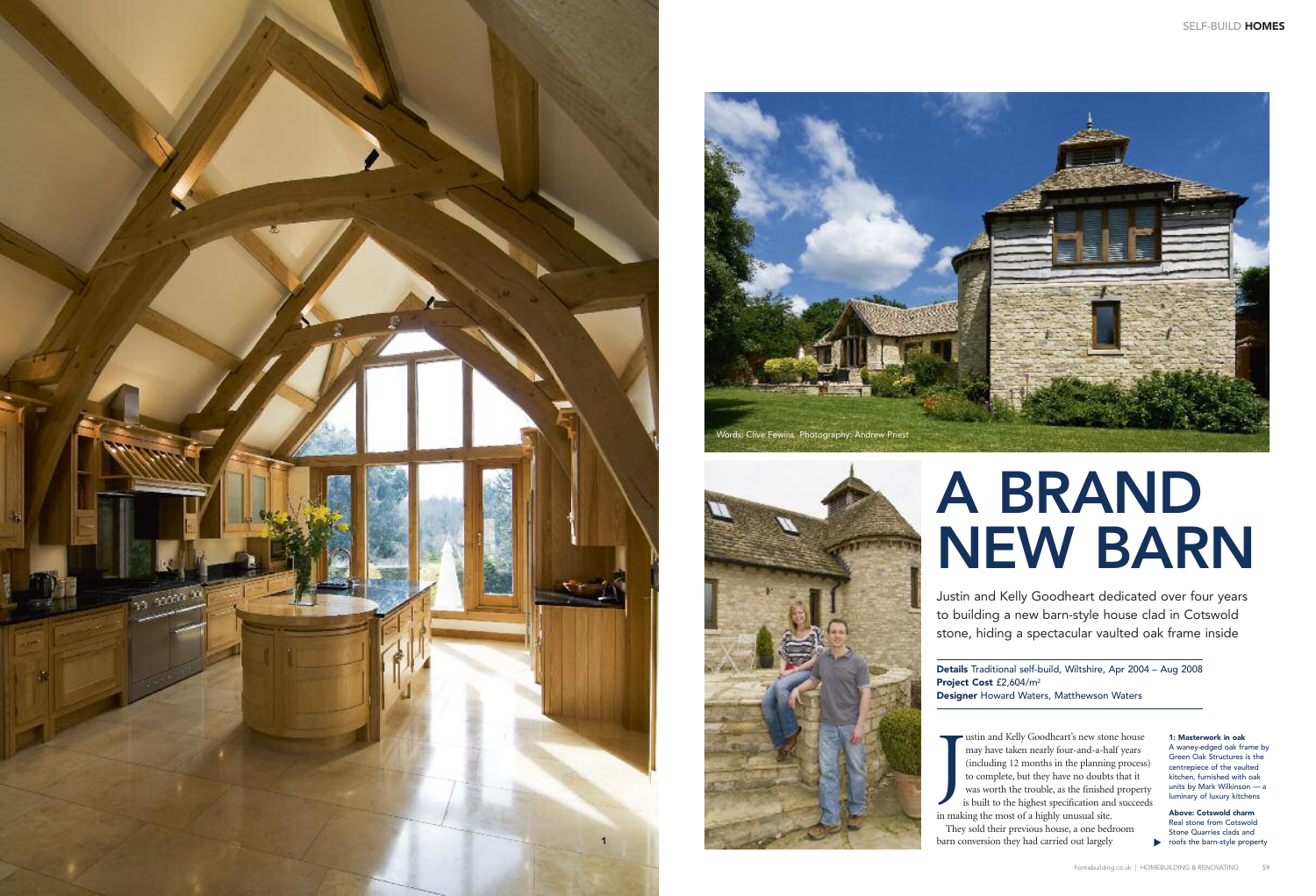J ustin and Kelly Goodheart's new stone house may have taken nearly four-and-a-half years (including 12 months in the planning process) to complete, but they have no doubts that it was worth the trouble, as the finished property is built to the highest specification and succeeds in making the most of a highly unusual site. They sold their previous house, a one bedroom barn conversion they had carried out largely

toofs the barn-style property **Above: Cotswold charm** Real stone from Cotswold Stone Quarries clads and

Justin and Kelly Goodheart dedicated over four years to building a new barn-style house clad in Cotswold stone, hiding a spectacular vaulted oak frame inside

**Details** Traditional self-build, Wiltshire, Apr 2004 – Aug 2008 **Project Cost** £2,604/m2 **Designer** Howard Waters, Matthewson Waters

#### **1: Masterwork in oak** A waney-edged oak frame by Green Oak Structures is the centrepiece of the vaulted kitchen, furnished with oak units by Mark Wilkinson — a luminary of luxury kitchens

# **A BRAND NEW BARN**





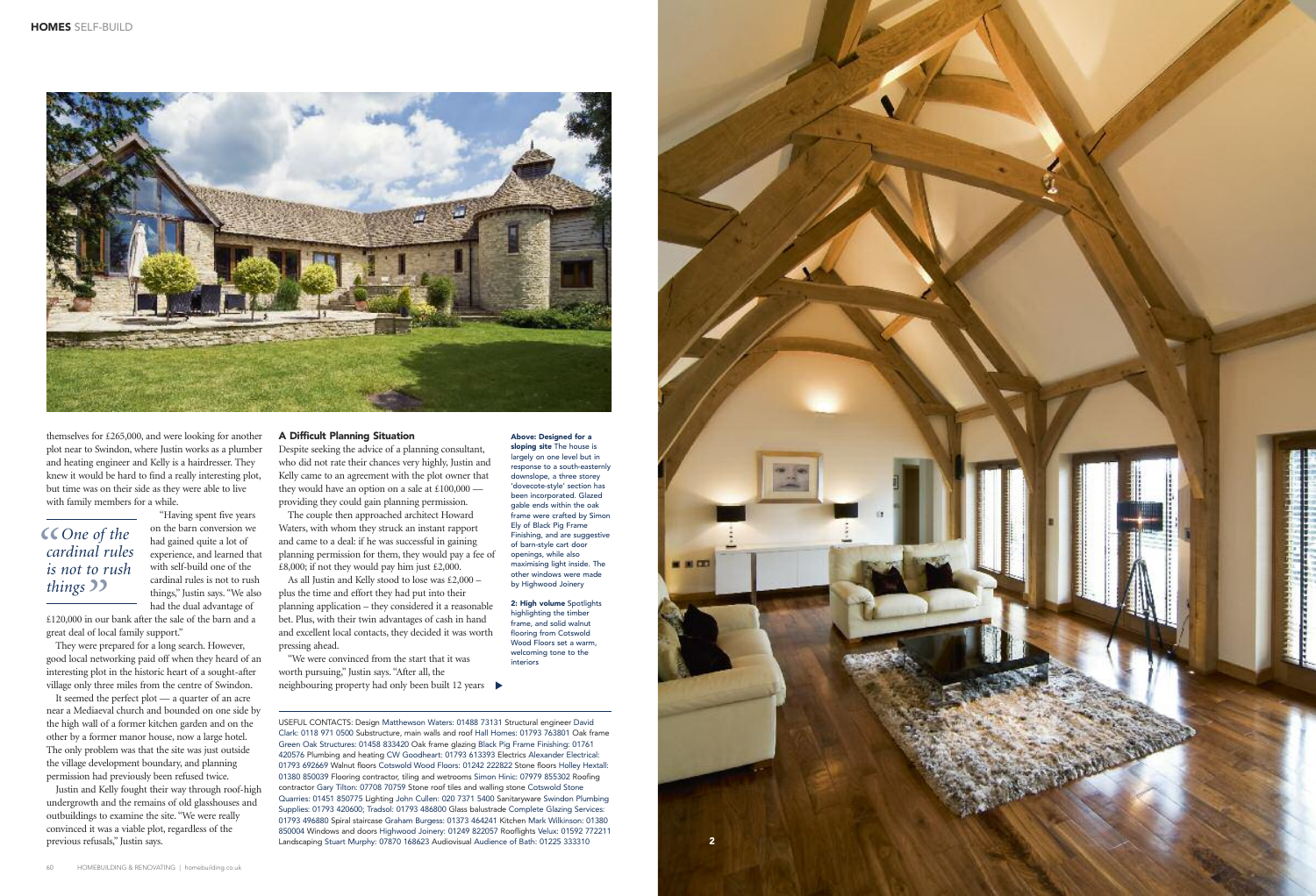



#### **A Difficult Planning Situation**

Despite seeking the advice of a planning consultant, who did not rate their chances very highly, Justin and Kelly came to an agreement with the plot owner that they would have an option on a sale at £100,000 providing they could gain planning permission.

"We were convinced from the start that it was worth pursuing," Justin says. "After all, the neighbouring property had only been built 12 years ▶

The couple then approached architect Howard Waters, with whom they struck an instant rapport and came to a deal: if he was successful in gaining planning permission for them, they would pay a fee of £8,000; if not they would pay him just £2,000.

As all Justin and Kelly stood to lose was £2,000 – plus the time and effort they had put into their planning application – they considered it a reasonable bet. Plus, with their twin advantages of cash in hand and excellent local contacts, they decided it was worth pressing ahead.

themselves for £265,000, and were looking for another plot near to Swindon, where Justin works as a plumber and heating engineer and Kelly is a hairdresser. They knew it would be hard to find a really interesting plot, but time was on their side as they were able to live with family members for a while.

> "Having spent five years on the barn conversion we had gained quite a lot of experience, and learned that with self-build one of the cardinal rules is not to rush things," Justin says. "We also had the dual advantage of

£120,000 in our bank after the sale of the barn and a great deal of local family support."

They were prepared for a long search. However, good local networking paid off when they heard of an interesting plot in the historic heart of a sought-after village only three miles from the centre of Swindon.

It seemed the perfect plot — a quarter of an acre near a Mediaeval church and bounded on one side by the high wall of a former kitchen garden and on the other by a former manor house, now a large hotel. The only problem was that the site was just outside the village development boundary, and planning permission had previously been refused twice.

## **C** One of the<br> *cardinal rule*<br> *is not to rush* t*hings* 22<br> *E*120,000 in our *cardinal rules is not to rush*

Justin and Kelly fought their way through roof-high undergrowth and the remains of old glasshouses and outbuildings to examine the site. "We were really convinced it was a viable plot, regardless of the previous refusals," Justin says.

#### **Above: Designed for a**

**sloping site** The house is largely on one level but in response to a south-easternly downslope, a three storey 'dovecote-style' section has been incorporated. Glazed gable ends within the oak frame were crafted by Simon Ely of Black Pig Frame Finishing, and are suggestive of barn-style cart door openings, while also maximising light inside. The other windows were made by Highwood Joinery

**2: High volume** Spotlights highlighting the timber frame, and solid walnut flooring from Cotswold Wood Floors set a warm welcoming tone to the interiors

USEFUL CONTACTS: Design Matthewson Waters: 01488 73131 Structural engineer David Clark: 0118 971 0500 Substructure, main walls and roof Hall Homes: 01793 763801 Oak frame Green Oak Structures: 01458 833420 Oak frame glazing Black Pig Frame Finishing: 01761 420576 Plumbing and heating CW Goodheart: 01793 613393 Electrics Alexander Electrical: 01793 692669 Walnut floors Cotswold Wood Floors: 01242 222822 Stone floors Holley Hextall: 01380 850039 Flooring contractor, tiling and wetrooms Simon Hinic: 07979 855302 Roofing contractor Gary Tilton: 07708 70759 Stone roof tiles and walling stone Cotswold Stone Quarries: 01451 850775 Lighting John Cullen: 020 7371 5400 Sanitaryware Swindon Plumbing Supplies: 01793 420600; Tradsol: 01793 486800 Glass balustrade Complete Glazing Services: 01793 496880 Spiral staircase Graham Burgess: 01373 464241 Kitchen Mark Wilkinson: 01380 850004 Windows and doors Highwood Joinery: 01249 822057 Rooflights Velux: 01592 772211 Landscaping Stuart Murphy: 07870 168623 Audiovisual Audience of Bath: 01225 333310

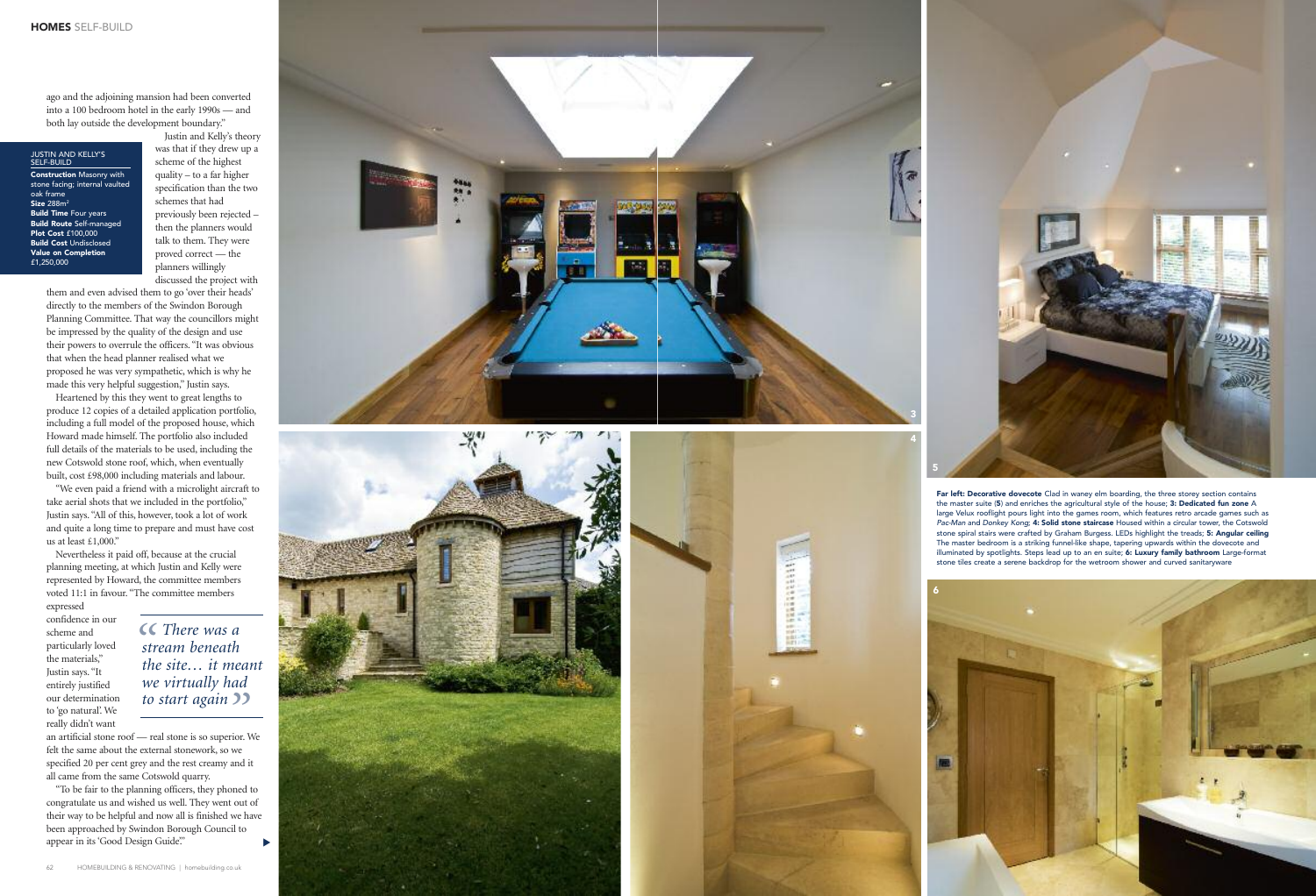*SC* There was a *stream beneath the site... it me to start again* **<sup>22</sup>**<br>*-* real stone is so superior. *s t r e a m b e n e a th the site... it meant w e v i r t u a l ly h a d*

an artificial stone roof — real stone is so superior. We felt the same about the external stonework, so we specified 20 per cent grey and the rest creamy and it all came from the same Cotswold quarry.

"To be fair to the planning officers, they phoned to congratulate us and wished us well. They went out of their way to be helpful and now all is finished we have been approached by Swindon Borough Council to appear in its 'Good Design Guide." ▼

ago and the adjoining mansion had been converted into a 100 bedroom hotel in the early 1990s — and both lay outside the development boundary."

#### JUSTIN AND KELLY'S<br>SELF-BUILD

**Construction** Masonry with stone facing; internal vaulted oak trame **S i z e** 2 8 8 m 2 **Build Time** Four years **Build Route** Self-managed **Plot Cost** £100,000 **Build Cost** Undisclosed **Va l u e o n C o m p l e t i o n** £1,250,000

Justin and Kelly's theory was that if they drew up a scheme of the highest q u a l i ty – t o a fa r h i g h e r s p e c i fi c a t i o n t h a n t h e two schemes that had previously been rejected – then the planners would talk to them. They were proved correct — the planners willingly discussed the project with

them and even advised them to go 'over their heads' directly to the members of the Swindon Borough Planning Committee. That way the councillors might be impressed by the quality of the design and use their powers to overrule the officers. "It was obvious that when the head planner realised what we proposed he was very sympathetic, which is why he made this very helpful suggestion," Justin says.

Heartened by this they went to great lengths to produce 12 copies of a detailed application portfolio, including a full model of the proposed house, which Howard made himself. The portfolio also included full details of the materials to be used, including the new Cotswold stone roof, which, when eventually built, cost £98,000 including materials and labour.

"We even paid a friend with a microlight aircraft to take aerial shots that we included in the portfolio," Justin says. "All of this, however, took a lot of work and quite a long time to prepare and must have cost us at least  $£1,000."$ 

Nevertheless it paid off, because at the crucial planning meeting, at which Justin and Kelly were represented by Howard, the committee members voted 11:1 in favour. "The committee members

expressed confidence in our s c h e m e a n d particularly loved the materials," Justin says. "It entirely justified our determination to 'go natural'. We really didn't want









**5**<br>**6**<br>**6**<br>**6** 



**Far left: Decorative dovecote** Clad in waney elm boarding, the three storey section contains the master suite (**5**) and enriches the agricultural style of the house; **3: Dedicated fun zone** A large Velux rooflight pours light into the games room, which features retro arcade games such as Pac-Man and Donkey Kong; **4: Solid stone staircase** Housed within a circular tower, the Cotswold stone spiral stairs were crafted by Graham Burgess. LEDs highlight the treads; **5: Angular ceiling** The master bedroom is a striking funnel-like shape, tapering upwards within the dovecote and illuminated by spotlights. Steps lead up to an en suite; **6: Luxury family bathroom** Large-format stone tiles create a serene backdrop for the wetroom shower and curved sanitaryware